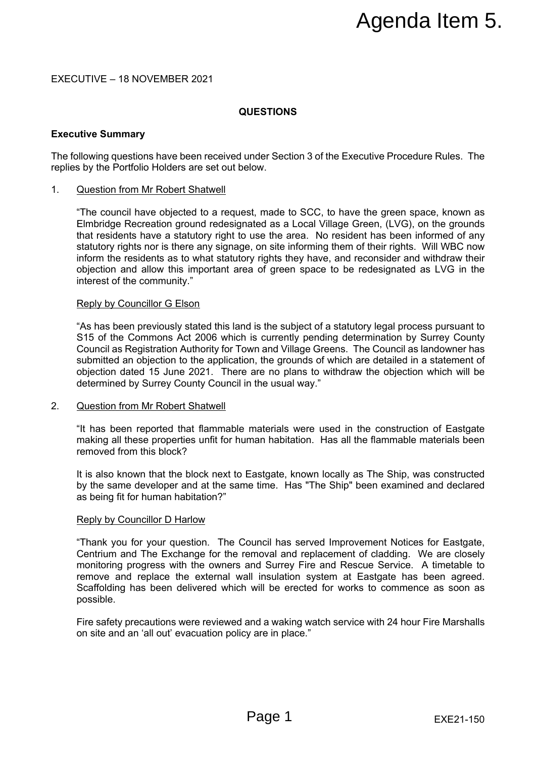# EXECUTIVE – 18 NOVEMBER 2021

# **QUESTIONS**

# **Executive Summary**

The following questions have been received under Section 3 of the Executive Procedure Rules. The replies by the Portfolio Holders are set out below.

# 1. Question from Mr Robert Shatwell

"The council have objected to a request, made to SCC, to have the green space, known as Elmbridge Recreation ground redesignated as a Local Village Green, (LVG), on the grounds that residents have a statutory right to use the area. No resident has been informed of any statutory rights nor is there any signage, on site informing them of their rights. Will WBC now inform the residents as to what statutory rights they have, and reconsider and withdraw their objection and allow this important area of green space to be redesignated as LVG in the interest of the community." **Example 16 Agency and Solution**<br> **Example:** Section 3 of the Executive Procedure Rules. The<br>
state to sCC, to have the green space, known as<br>
suse the area. No resident has been informed of any<br>
suse the area. No resident

## Reply by Councillor G Elson

"As has been previously stated this land is the subject of a statutory legal process pursuant to S15 of the Commons Act 2006 which is currently pending determination by Surrey County Council as Registration Authority for Town and Village Greens. The Council as landowner has submitted an objection to the application, the grounds of which are detailed in a statement of objection dated 15 June 2021. There are no plans to withdraw the objection which will be determined by Surrey County Council in the usual way."

## 2. Question from Mr Robert Shatwell

"It has been reported that flammable materials were used in the construction of Eastgate making all these properties unfit for human habitation. Has all the flammable materials been removed from this block?

It is also known that the block next to Eastgate, known locally as The Ship, was constructed by the same developer and at the same time. Has "The Ship" been examined and declared as being fit for human habitation?"

## Reply by Councillor D Harlow

"Thank you for your question. The Council has served Improvement Notices for Eastgate, Centrium and The Exchange for the removal and replacement of cladding. We are closely monitoring progress with the owners and Surrey Fire and Rescue Service. A timetable to remove and replace the external wall insulation system at Eastgate has been agreed. Scaffolding has been delivered which will be erected for works to commence as soon as possible.

Fire safety precautions were reviewed and a waking watch service with 24 hour Fire Marshalls on site and an 'all out' evacuation policy are in place."